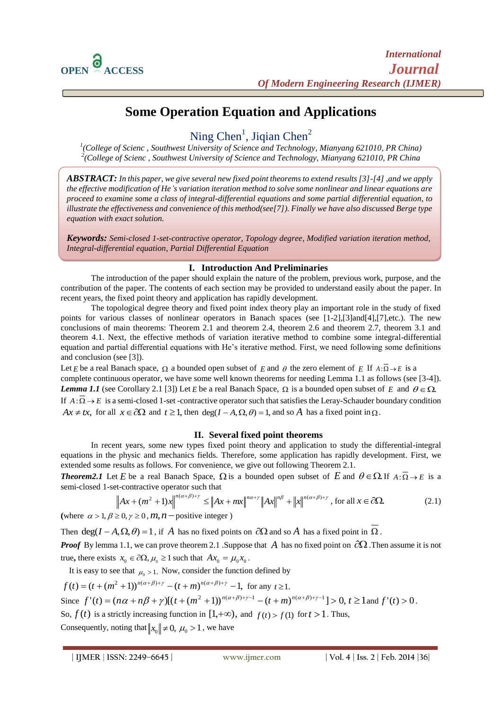$\overline{a}$ 

# **Some Operation Equation and Applications**

Ning Chen<sup>1</sup>, Jiqian Chen<sup>2</sup>

*1 (College of Scienc , Southwest University of Science and Technology, Mianyang 621010, PR China) 2 (College of Scienc , Southwest University of Science and Technology, Mianyang 621010, PR China*

*ABSTRACT: In this paper, we give several new fixed point theorems to extend results [3]-[4] ,and we apply the effective modification of He's variation iteration method to solve some nonlinear and linear equations are proceed to examine some a class of integral-differential equations and some partial differential equation, to illustrate the effectiveness and convenience of this method(see[7]). Finally we have also discussed Berge type equation with exact solution.*

*Keywords: Semi-closed 1-set-contractive operator, Topology degree, Modified variation iteration method, Integral-differential equation, Partial Differential Equation*

## **I. Introduction And Preliminaries**

The introduction of the paper should explain the nature of the problem, previous work, purpose, and the contribution of the paper. The contents of each section may be provided to understand easily about the paper. In recent years, the fixed point theory and application has rapidly development.

The topological degree theory and fixed point index theory play an important role in the study of fixed points for various classes of nonlinear operators in Banach spaces (see [1-2],[3]and[4],[7],etc.). The new conclusions of main theorems: Theorem 2.1 and theorem 2.4, theorem 2.6 and theorem 2.7, theorem 3.1 and theorem 4.1. Next, the effective methods of variation iterative method to combine some integral-differential equation and partial differential equations with He's iterative method. First, we need following some definitions and conclusion (see [3]).

Let *E* be a real Banach space,  $\Omega$  a bounded open subset of *E* and  $\theta$  the zero element of *E* If  $A:\Omega \to E$  is a complete continuous operator, we have some well known theorems for needing Lemma 1.1 as follows (see [3-4]). *Lemma 1.1* (see Corollary 2.1 [3]) Let *E* be a real Banach Space,  $\Omega$  is a bounded open subset of *E* and  $\theta \in \Omega$ . If  $A: \Omega \to E$  is a semi-closed 1-set -contractive operator such that satisfies the Leray-Schauder boundary condition  $Ax \neq tx$ , for all  $x \in \partial\Omega$  and  $t \geq 1$ , then  $\deg(I - A, \Omega, \theta) = 1$ , and so A has a fixed point in  $\Omega$ .

## **II. Several fixed point theorems**

In recent years, some new types fixed point theory and application to study the differential-integral equations in the physic and mechanics fields. Therefore, some application has rapidly development. First, we extended some results as follows. For convenience, we give out following Theorem 2.1.

**Theorem2.1** Let E be a real Banach Space,  $\Omega$  is a bounded open subset of E and  $\theta \in \Omega$ . If  $A : \overline{\Omega} \to E$  is a semi-closed 1-set-contractive operator such that

$$
\left\| Ax + (m^2 + 1)x \right\|^{n(\alpha + \beta) + \gamma} \le \left\| Ax + mx \right\|^{n\alpha + \gamma} \left\| Ax \right\|^{n\beta} + \left\| x \right\|^{n(\alpha + \beta) + \gamma}, \text{ for all } x \in \partial \Omega. \tag{2.1}
$$

(where  $\alpha > 1, \beta \ge 0, \gamma \ge 0, m, n$  – positive integer)

Then  $deg(I - A, \Omega, \theta) = 1$ , if A has no fixed points on  $\partial\Omega$  and so A has a fixed point in  $\overline{\Omega}$ .

*Proof* By lemma 1.1, we can prove theorem 2.1 .Suppose that A has no fixed point on  $\partial\Omega$ . Then assume it is not true, there exists  $x_0 \in \partial \Omega$ ,  $\mu_0 \ge 1$  such that  $Ax_0 = \mu_0 x_0$ .

It is easy to see that  $\mu_0 > 1$ . Now, consider the function defined by

$$
f(t) = (t + (m^2 + 1))^{n(\alpha + \beta) + \gamma} - (t + m)^{n(\alpha + \beta) + \gamma} - 1, \text{ for any } t \ge 1.
$$
  
Since  $f'(t) = (n\alpha + n\beta + \gamma)[(t + (m^2 + 1))^{n(\alpha + \beta) + \gamma - 1} - (t + m)^{n(\alpha + \beta) + \gamma - 1}] > 0, t \ge 1$  and  $f'(t) > 0$ .  
So,  $f(t)$  is a strictly increasing function in  $[1, +\infty)$ , and  $f(t) > f(1)$  for  $t > 1$ . Thus,  
Consequently, noting that  $||x_0|| \ne 0$ ,  $\mu_0 > 1$ , we have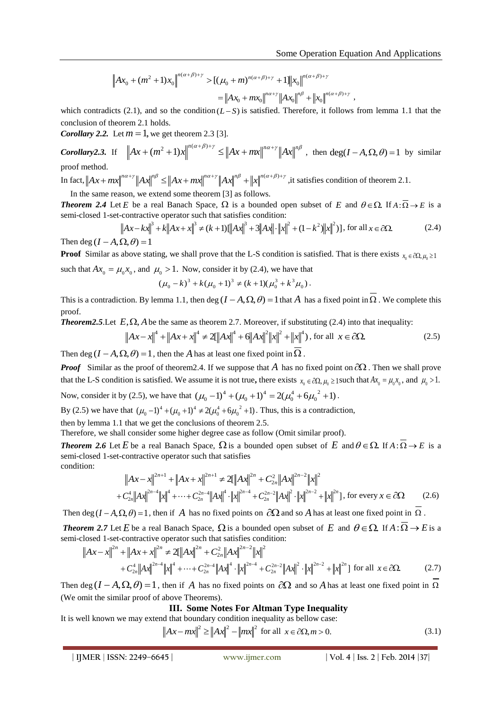$$
\|Ax_0 + (m^2 + 1)x_0\|_{\infty}^{n(\alpha + \beta) + \gamma} > [(\mu_0 + m)^{n(\alpha + \beta) + \gamma} + 1] \|x_0\|_{\infty}^{n(\alpha + \beta) + \gamma}
$$
  
=  $||Ax_0 + mx_0||^{n\alpha + \gamma} ||Ax_0||^{n\beta} + ||x_0||^{n(\alpha + \beta) + \gamma}$ ,

which contradicts (2.1), and so the condition  $(L-S)$  is satisfied. Therefore, it follows from lemma 1.1 that the conclusion of theorem 2.1 holds.

*Corollary 2.2.* Let  $m = 1$ , we get theorem 2.3 [3].

*Corollary2.3.* If  $\left\| Ax + (m^2 + 1)x \right\|^{n(\alpha+\beta)+\gamma} \leq \left\| Ax + mx \right\|^{n\alpha+\gamma} \left\| Ax \right\|^{n\beta}$ , then  $\deg(I-A,\Omega,\theta) = 1$  by similar proof method.

In fact,  $\left\| Ax+mx \right\|^{n\alpha+\gamma}\left\| Ax \right\|^{n\beta} \le \left\| Ax+mx \right\|^{n\alpha+\gamma}\left\| Ax \right\|^{n\beta} + \left\| x \right\|^{n(\alpha+\beta)+\gamma}$ , it satisfies condition of theorem 2.1.

In the same reason, we extend some theorem [3] as follows.

**Theorem 2.4** Let E be a real Banach Space,  $\Omega$  is a bounded open subset of E and  $\theta \in \Omega$ . If  $A : \overline{\Omega} \to E$  is a semi-closed 1-set-contractive operator such that satisfies condition:<br>  $||Ax - kx||^3 + k||Ax + x||^3 \neq (k+1)[||Ax||^3 + 3||$ semi-closed 1-set-contractive operator such that satisfies condition:

$$
\left\| Ax - kx \right\|^3 + k \left\| Ax + x \right\|^3 \neq (k+1) \left[ \left\| Ax \right\|^3 + 3 \left\| Ax \right\| \cdot \left\| x \right\|^2 + (1 - k^2) \left\| x \right\|^2 \right], \text{ for all } x \in \partial \Omega. \tag{2.4}
$$

Then deg  $(I - A, \Omega, \theta) = 1$ 

**Proof** Similar as above stating, we shall prove that the L-S condition is satisfied. That is there exists  $x_0 \in \partial \Omega, \mu_0 \ge 1$ such that  $Ax_0 = \mu_0 x_0$ , and  $\mu_0 > 1$ . Now, consider it by (2.4), we have that

$$
(\mu_0 - k)^3 + k(\mu_0 + 1)^3 \neq (k+1)(\mu_0^3 + k^3 \mu_0).
$$

This is a contradiction. By lemma 1.1, then deg  $(I - A, \Omega, \theta) = 1$  that A has a fixed point in  $\Omega$ . We complete this proof.

**Theorem2.5**. Let  $E, \Omega$ , A be the same as theorem 2.7. Moreover, if substituting (2.4) into that inequality:

$$
\left\|Ax - x\right\|^4 + \left\|Ax + x\right\|^4 \neq 2\left[\left\|Ax\right\|^4 + 6\left\|Ax\right\|^2\left\|x\right\|^2 + \left\|x\right\|^4\right), \text{ for all } x \in \partial\Omega. \tag{2.5}
$$

Then deg  $(I - A, \Omega, \theta) = 1$ , then the A has at least one fixed point in  $\Omega$ .

*Proof* Similar as the proof of theorem 2.4. If we suppose that A has no fixed point on  $\partial\Omega$ . Then we shall prove that the L-S condition is satisfied. We assume it is not true, there exists  $x_0 \in \partial\Omega$ ,  $\mu_0 \ge 1$  such that  $Ax_0 = \mu_0 x_0$ , and  $\mu_0 > 1$ . Now, consider it by (2.5), we have that  $(\mu_0 - 1)^4 + (\mu_0 + 1)^4 = 2(\mu_0^4 + 6{\mu_0}^2 + 1)$  $(\mu_0 - 1)^4 + (\mu_0 + 1)^4 = 2(\mu_0^4 + 6{\mu_0}^2 + 1).$ 

By (2.5) we have that  $(\mu_0 - 1)^4 + (\mu_0 + 1)^4 \neq 2(\mu_0^4 + 6{\mu_0}^2 + 1)$  $(\mu_0 - 1)^4 + (\mu_0 + 1)^4 \neq 2(\mu_0^4 + 6\mu_0^2 + 1)$ . Thus, this is a contradiction,

then by lemma 1.1 that we get the conclusions of theorem 2.5.

Therefore, we shall consider some higher degree case as follow (Omit similar proof).

**Theorem 2.6** Let E be a real Banach Space,  $\Omega$  is a bounded open subset of E and  $\theta \in \Omega$ . If  $A : \Omega \to E$  is a semi-closed 1-set-contractive operator such that satisfies condition:

$$
\|Ax - x\|^{2n+1} + \|Ax + x\|^{2n+1} \neq 2[\|Ax\|^{2n} + C_{2n}^{2}\|Ax\|^{2n-2}\|x\|^{2} + C_{2n}^{4}\|Ax\|^{2n-4}\|x\|^{2} + C_{2n}^{4}\|Ax\|^{2n-4}\|x\|^{4} + \dots + C_{2n}^{2n-4}\|Ax\|^{4} \cdot \|x\|^{2n-4} + C_{2n}^{2n-2}\|Ax\|^{2} \cdot \|x\|^{2n-2} + \|x\|^{2n}\}, \text{ for every } x \in \partial\Omega
$$
 (2.6)

Then deg  $(I-A,\Omega,\theta) = 1$ , then if A has no fixed points on  $\partial\Omega$  and so A has at least one fixed point in  $\Omega$ .

**Theorem 2.7** Let E be a real Banach Space,  $\Omega$  is a bounded open subset of E and  $\theta \in \Omega$ . If  $A : \overline{\Omega} \to E$  is a semi-closed 1-set-contractive operator such that satisfies condition:

$$
\|Ax - x\|^{2n} + \|Ax + x\|^{2n} \neq 2[\|Ax\|^{2n} + C_{2n}^{2}\|Ax\|^{2n-2}\|x\|^{2}
$$
  
+  $C_{2n}^{4}\|Ax\|^{2n-4}\|x\|^{4} + \dots + C_{2n}^{2n-4}\|Ax\|^{4} \cdot \|x\|^{2n-4} + C_{2n}^{2n-2}\|Ax\|^{2} \cdot \|x\|^{2n-2} + \|x\|^{2n} ]$  for all  $x \in \partial\Omega$ . (2.7)

Then deg  $(I - A, \Omega, \theta) = 1$ , then if A has no fixed points on  $\partial\Omega$  and so A has at least one fixed point in  $\overline{\Omega}$ (We omit the similar proof of above Theorems).

**III. Some Notes For Altman Type Inequality**

It is well known we may extend that boundary condition inequality as bellow case:  $Ax - mx\|^2 \ge ||Ax||^2 - ||mx||^2$  for all  $x \in \partial \Omega, m > 0.$  (3.1)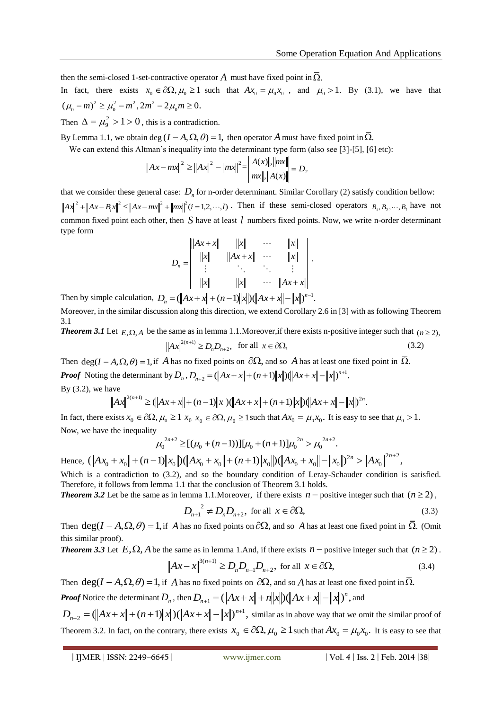then the semi-closed 1-set-contractive operator  $A$  must have fixed point in  $\Omega$ .

In fact, there exists  $x_0 \in \partial \Omega$ ,  $\mu_0 \ge 1$  such that  $Ax_0 = \mu_0 x_0$ , and  $\mu_0 > 1$ . By (3.1), we have that  $(\mu_0 - m)^2 \ge \mu_0^2 - m^2$ ,  $2m^2 - 2\mu_0 m \ge 0$ .

Then  $\Delta = \mu_9^2 > 1 > 0$ , this is a contradiction.

By Lemma 1.1, we obtain deg  $(I - A, \Omega, \theta) = 1$ , then operator A must have fixed point in  $\overline{\Omega}$ .

We can extend this Altman's inequality into the determinant type form (also see [3]-[5], [6] etc):

$$
||Ax - mx||^{2} \ge ||Ax||^{2} - ||mx||^{2} = \frac{||A(x)||, ||mx||}{||mx||, ||A(x)||} = D_{2}
$$

that we consider these general case:  $D_n$  for n-order determinant. Similar Corollary (2) satisfy condition bellow:

 $||Ax||^2 + ||Ax - B_i x||^2 \le ||Ax - mx||^2 + ||mx||^2 (i = 1, 2, \dots, l)$ . Then if these semi-closed operators  $B_1, B_2, \dots, B_l$  have not common fixed point each other, then *S* have at least *l* numbers fixed points. Now, we write n-order determinant type form

$$
D_n = \begin{vmatrix} \|Ax + x\| & \|x\| & \cdots & \|x\| \\ \|x\| & \|Ax + x\| & \cdots & \|x\| \\ \vdots & \ddots & \ddots & \vdots \\ \|x\| & \|x\| & \cdots & \|Ax + x\|\end{vmatrix}.
$$

Then by simple calculation,  $D_n = (\|Ax + x\| + (n-1)\|x\|)(\|Ax + x\| - \|x\|)^{n-1}$ .

Moreover, in the similar discussion along this direction, we extend Corollary 2.6 in [3] with as following Theorem 3.1

**Theorem 3.1** Let  $E, \Omega, A$  be the same as in lemma 1.1.Moreover, if there exists n-positive integer such that  $(n \ge 2)$ ,  $2^{(n+1)} \ge D_n D_{n+2},$  $^{+}$  $Ax\Big|^{2(n+1)} \ge D_n D_{n+2}, \text{ for all } x \in \partial \Omega,$  (3.2)

Then  $deg(I - A, \Omega, \theta) = 1$ , if A has no fixed points on  $\partial\Omega$ , and so A has at least one fixed point in  $\overline{\Omega}$ . *Proof* Noting the determinant by  $D_n$ ,  $D_{n+2} = (\|Ax + x\| + (n+1)\|x\|)(\|Ax + x\| - \|x\|)^{n+1}$ . By  $(3.2)$ , we have

$$
||Ax||^{2(n+1)} \geq (||Ax+x||+(n-1)||x||)(||Ax+x||+(n+1)||x||)(||Ax+x||-||x||)^{2n}.
$$

In fact, there exists  $x_0 \in \partial\Omega$ ,  $\mu_0 \ge 1$   $x_0$ ,  $x_0 \in \partial\Omega$ ,  $\mu_0 \ge 1$  such that  $Ax_0 = \mu_0 x_0$ . It is easy to see that  $\mu_0 > 1$ . Now, we have the inequality

$$
\mu_0^{2n+2} \geq [(\mu_0 + (n-1))][\mu_0 + (n+1)]\mu_0^{2n} > \mu_0^{2n+2}.
$$

Hence,  $(\|Ax_0 + x_0\| + (n-1)\|x_0\|)(\|Ax_0 + x_0\| + (n+1)\|x_0\|)(\|Ax_0 + x_0\| - \|x_0\|)^{2n} > \|Ax_0\|^{2n+2}$ ,  $\mathbf 0$ 2  $0 \rightarrow \infty$   $\begin{array}{ccc} 0 & 0 & \lambda_0 \end{array}$   $\begin{array}{ccc} 0 & 0 & \lambda_0 \end{array}$  $Ax_0 + x_0 \| + (n-1) \|x_0\| \le \|Ax_0 + x_0\| + (n+1) \|x_0\| \le \|Ax_0 + x_0\| - \|x_0\|^{2n} > \|Ax_0\|^{2n+1}$ Which is a contradiction to (3.2), and so the boundary condition of Leray-Schauder condition is satisfied.

Therefore, it follows from lemma 1.1 that the conclusion of Theorem 3.1 holds.

**Theorem 3.2** Let be the same as in lemma 1.1. Moreover, if there exists  $n -$  positive integer such that  $(n \ge 2)$ ,

$$
D_{n+1}^2 \neq D_n D_{n+2}, \text{ for all } x \in \partial \Omega,
$$
 (3.3)

Then  $deg(I - A, \Omega, \theta) = 1$ , if A has no fixed points on  $\partial\Omega$ , and so A has at least one fixed point in  $\overline{\Omega}$ . (Omit this similar proof).

**Theorem 3.3** Let  $E, \Omega, A$  be the same as in lemma 1.And, if there exists  $n$  – positive integer such that  $(n \ge 2)$ .

$$
\left\|Ax - x\right\|^{3(n+1)} \ge D_n D_{n+1} D_{n+2}, \text{ for all } x \in \partial \Omega,
$$
\n(3.4)

Then  $deg(I - A, \Omega, \theta) = 1$ , if A has no fixed points on  $\partial\Omega$ , and so A has at least one fixed point in  $\overline{\Omega}$ .

*Proof* Notice the determinant  $D_n$  , then  $D_{n+1} = (\left\| Ax + x \right\| + n \Vert x \Vert) (\left\| Ax + x \right\| - \left\| x \right\|)^n$ ,  $D_{n+1} = (\|Ax + x\| + n\|x\|)(\|Ax + x\| - \|x\|)^n$ , and

 $(\|Ax+x\|+(n+1)\|x\|)(\|Ax+x\|-\|x\|)^{n+1},$ 2  $^{+}$  $D_{n+2} = (\left\|Ax + x\right\| + (n+1)\left\|x\right\|)(\left\|Ax + x\right\| - \left\|x\right\|)^{n+1}$ , similar as in above way that we omit the similar proof of Theorem 3.2. In fact, on the contrary, there exists  $x_0 \in \partial\Omega$ ,  $\mu_0 \ge 1$  such that  $Ax_0 = \mu_0 x_0$ . It is easy to see that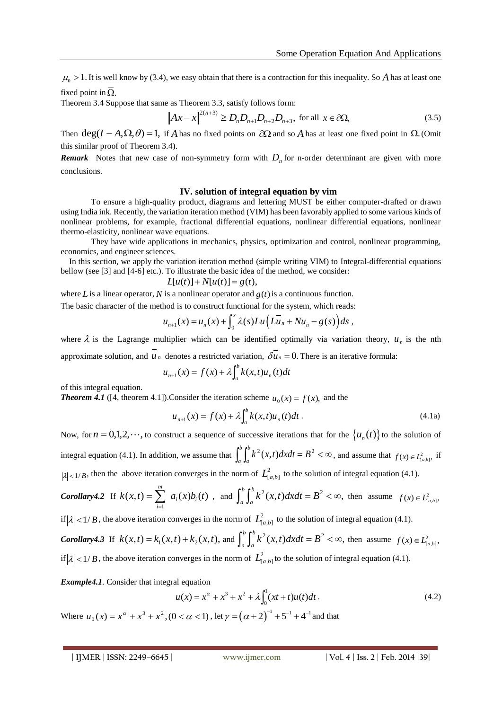$\mu_0 > 1$ . It is well know by (3.4), we easy obtain that there is a contraction for this inequality. So A has at least one fixed point in  $\Omega$ .

Theorem 3.4 Suppose that same as Theorem 3.3, satisfy follows form:

$$
\left\|Ax - x\right\|^{2(n+3)} \ge D_n D_{n+1} D_{n+2} D_{n+3}, \text{ for all } x \in \partial \Omega,
$$
 (3.5)

Then  $deg(I - A, \Omega, \theta) = 1$ , if *A* has no fixed points on  $\partial\Omega$  and so *A* has at least one fixed point in  $\overline{\Omega}$ . (Omit this similar proof of Theorem 3.4).

**Remark** Notes that new case of non-symmetry form with  $D_n$  for n-order determinant are given with more conclusions.

## **IV. solution of integral equation by vim**

To ensure a high-quality product, diagrams and lettering MUST be either computer-drafted or drawn using India ink. Recently, the variation iteration method (VIM) has been favorably applied to some various kinds of nonlinear problems, for example, fractional differential equations, nonlinear differential equations, nonlinear thermo-elasticity, nonlinear wave equations.

They have wide applications in mechanics, physics, optimization and control, nonlinear programming, economics, and engineer sciences.

In this section, we apply the variation iteration method (simple writing VIM) to Integral-differential equations bellow (see [3] and [4-6] etc.). To illustrate the basic idea of the method, we consider:

$$
L[u(t)] + N[u(t)] = g(t),
$$

where *L* is a linear operator, *N* is a nonlinear operator and  $g(t)$  is a continuous function.

The basic character of the method is to construct functional for the system, which reads:  
\n
$$
u_{n+1}(x) = u_n(x) + \int_0^x \lambda(s) Lu\left(Lu_n + Nu_n - g(s)\right) ds,
$$

where  $\lambda$  is the Lagrange multiplier which can be identified optimally via variation theory,  $u_n$  is the nth approximate solution, and  $u_n$  denotes a restricted variation,  $\delta u_n = 0$ . There is an iterative formula:

$$
u_{n+1}(x) = f(x) + \lambda \int_a^b k(x, t) u_n(t) dt
$$

of this integral equation.

*Theorem 4.1* ([4, theorem 4.1]). Consider the iteration scheme  $u_0(x) = f(x)$ , and the

$$
u_{n+1}(x) = f(x) + \lambda \int_{a}^{b} k(x, t) u_n(t) dt.
$$
 (4.1a)

Now, for  $n = 0,1,2,\dots$ , to construct a sequence of successive iterations that for the  $\{u_n(t)\}$  to the solution of integral equation (4.1). In addition, we assume that  $\int_a^b \int_a^b k^2(x,t) dx dt = B^2 < \infty$ *a b*  $\int_{a}^{b} k^2(x,t) dx dt = B^2 < \infty$ , and assume that  $f(x) \in L^2_{[a,b]}$ , if  $|\lambda|$  < 1/ *B*, then the above iteration converges in the norm of  $L^2_{[a,b]}$  to the solution of integral equation (4.1).

**Corollary4.2** If 
$$
k(x,t) = \sum_{i=1}^{m} a_i(x)b_i(t)
$$
, and  $\int_a^b \int_a^b k^2(x,t)dxdt = B^2 < \infty$ , then assume  $f(x) \in L^2_{[a,b]}$ ,

if  $|\lambda| < 1/B$ , the above iteration converges in the norm of  $L^2_{[a,b]}$  to the solution of integral equation (4.1).

*Corollary4.3* If  $k(x,t) = k_1(x,t) + k_2(x,t)$ , and  $\int_a^b \int_a^b k^2(x,t) dx dt = B^2 < \infty$ ,  $\int_{a}^{b} \int_{a}^{b} k^{2}(x, t) dx dt = B^{2} < \infty$ , then assume  $f(x) \in L_{[a,b]}^{2}$ , if  $|\lambda| < 1/B$ , the above iteration converges in the norm of  $L^2_{[a,b]}$  to the solution of integral equation (4.1).

*Example4.1.* Consider that integral equation

$$
u(x) = x^{\alpha} + x^3 + x^2 + \lambda \int_0^1 (xt + t)u(t)dt.
$$
 (4.2)

Where  $u_0(x) = x^{\alpha} + x^3 + x^2$ ,  $(0 < \alpha < 1)$ , let  $\gamma = (\alpha + 2)^{-1} + 5^{-1} + 4^{-1}$  and that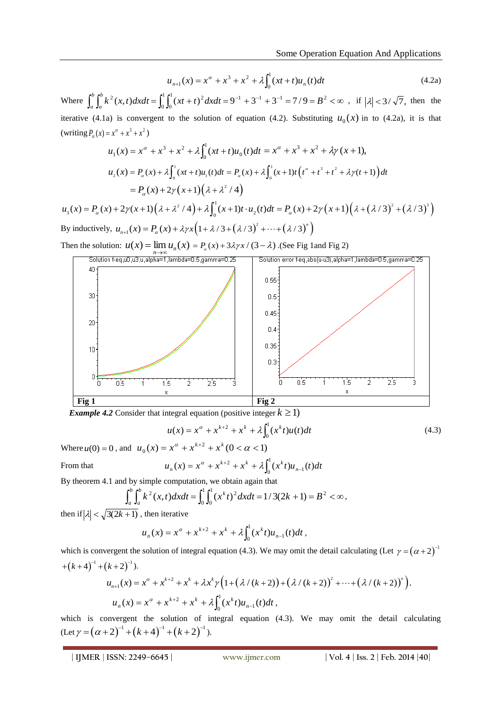$$
u_{n+1}(x) = x^{\alpha} + x^3 + x^2 + \lambda \int_0^1 (xt + t) u_n(t) dt
$$
 (4.2a)

Where  $\int_a^b \int_a^b k^2(x,t) dx dt = \int_0^1 \int_0^1 (xt+t)^2 dx dt = 9^{-1} + 3^{-1} + 3^{-1} = 7/9 = B^2 < \infty$ *a b*  $\int_{a}^{b} k^{2}(x,t) dx dt = \int_{0}^{1} \int_{0}^{1} (xt+t)^{2} dx dt = 9^{-1} + 3^{-1} + 3^{-1} = 7/9 = B^{2}$  $\boldsymbol{0}$ 1  $\boldsymbol{0}$  $2(x,t)dxdt = \int_0^1 (xt+t)^2 dxdt = 9^{-1} + 3^{-1} + 3^{-1} = 7/9 = B^2 < \infty$ , if  $|\lambda| < 3/\sqrt{7}$ , then the iterative (4.1a) is convergent to the solution of equation (4.2). Substituting  $u_0(x)$  in to (4.2a), it is that (writing  $P_{\alpha}(x) = x^{\alpha} + x^3 + x^2$ )

$$
(\text{writing } P_{\alpha}(x) = x^{\alpha} + x^3 + x^2)
$$
\n
$$
u_1(x) = x^{\alpha} + x^3 + x^2 + \lambda \int_0^1 (xt + t)u_0(t)dt = x^{\alpha} + x^3 + x^2 + \lambda \gamma (x + 1),
$$
\n
$$
u_2(x) = P_{\alpha}(x) + \lambda \int_0^1 (xt + t)u_1(t)dt = P_{\alpha}(x) + \lambda \int_0^1 (x + 1)t(t^{\alpha} + t^3 + t^2 + \lambda \gamma (t + 1))dt
$$
\n
$$
= P_{\alpha}(x) + 2\gamma (x + 1)(\lambda + \lambda^2 / 4)
$$
\n
$$
u_3(x) = P_{\alpha}(x) + 2\gamma (x + 1)(\lambda + \lambda^2 / 4) + \lambda \int_0^1 (x + 1)t \cdot u_2(t)dt = P_{\alpha}(x) + 2\gamma (x + 1)(\lambda + (\lambda/3)^2 + (\lambda/3)^3)
$$

By inductively,  $u_{n+1}(x) = P_{\alpha}(x) + \lambda \gamma x \left(1 + \lambda / 3 + (\lambda / 3)^2 + \cdots + (\lambda / 3)^n\right)$  $+ 2\gamma(x+1)(\lambda + \lambda^2/4) + \lambda \int_0^x (x+1)t \cdot u_2(t) dt = P_\alpha(x) + 2\mu_{n+1}(x) = P_\alpha(x) + \lambda \gamma x (1 + \lambda/3 + (\lambda/3)^2 + \dots + (\lambda/3)^n)$ 

Then the solution:  $u(x) = \lim_{n \to \infty} u_n(x) = P_a(x) + 3\lambda \gamma x / (3 - \lambda)$ . (See Fig 1 and Fig 2)



*Example 4.2* Consider that integral equation (positive integer  $k \geq 1$ )

$$
u(x) = x^{\alpha} + x^{k+2} + x^k + \lambda \int_0^1 (x^k t) u(t) dt
$$
 (4.3)

Where  $u(0) = 0$ , and  $u_0(x) = x^{\alpha} + x^{k+2} + x^k (0 < \alpha < 1)$  $= x^{\alpha} + x^{k+2} + x^k + \lambda \int_0^1 (x^k t) u_{n-k}$ 

From that

By theorem 4.1 and by simple computation, we obtain again that

$$
\int_a^b \int_a^b k^2(x,t) dx dt = \int_0^1 \int_0^1 (x^k t)^2 dx dt = 1/3(2k+1) = B^2 < \infty,
$$

 $u_n(x) = x^{\alpha} + x^{k+2} + x^k + \lambda \int_0^1 (x^k t) u_{n-1}(t) dt$ 

then if  $|\lambda| < \sqrt{3(2k+1)}$ , then iterative

$$
u_n(x) = x^{\alpha} + x^{k+2} + x^k + \lambda \int_0^1 (x^k t) u_{n-1}(t) dt,
$$

which is convergent the solution of integral equation (4.3). We may omit the detail calculating (Let  $\gamma = (\alpha + 2)^{-1}$ <br>+ $(k+4)^{-1} + (k+2)^{-1}$ ).<br> $u_{n+1}(x) = x^{\alpha} + x^{k+2} + x^k + \lambda x^k \gamma (1 + (\lambda / (k+2)) + (\lambda / (k+2))^2 + \cdots + (\lambda / (k+2))^n)$ .  $+(k+4)^{-1}+(k+2)^{-1}$ ).

$$
u_{n+1}(x) = x^{\alpha} + x^{k+2} + x^k + \lambda x^k \gamma \Big( 1 + \big(\lambda / (k+2)\big) + \big(\lambda / (k+2)\big)^2 + \dots + \big(\lambda / (k+2)\big)^n \Big).
$$
  

$$
u_n(x) = x^{\alpha} + x^{k+2} + x^k + \lambda \int_0^1 (x^k t) u_{n-1}(t) dt,
$$

which is convergent the solution of integral equation (4.3). We may omit the detail calculating  $(\text{Let } \gamma = (\alpha + 2)^{-1} + (k + 4)^{-1} + (k + 2)^{-1})$ 26 is convergent the solution of in<br>  $\gamma = (\alpha + 2)^{-1} + (k + 4)^{-1} + (k + 2)^{-1}$ .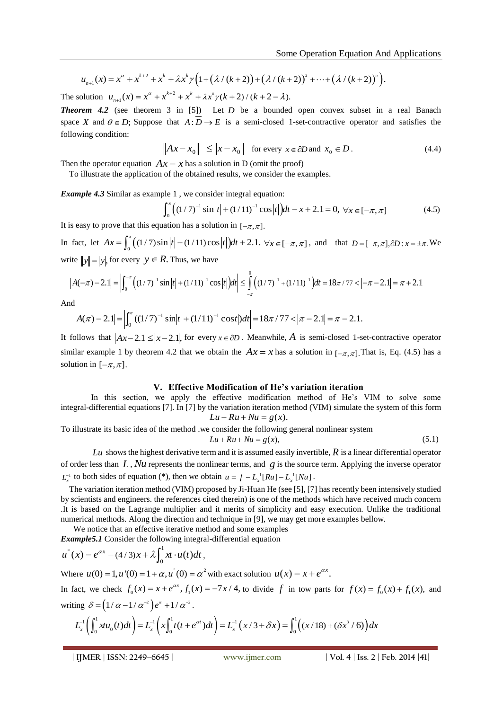Some Operation Equation And A<sub>I</sub>  
\n
$$
u_{n+1}(x) = x^{\alpha} + x^{k+2} + x^k + \lambda x^k \gamma \Big( 1 + (\lambda / (k+2)) + (\lambda / (k+2))^2 + \dots + (\lambda / (k+2))^n \Big).
$$
\nThe solution  $u_{n+1}(x) = x^{\alpha} + x^{k+2} + x^k + \lambda x^k \gamma (k+2) / (k+2 - \lambda).$ 

The solution  $u_{n+1}(x) = x^{\alpha} + x^{k+2}$  $\boldsymbol{a}$  $\ddot{\phantom{1}}$ 

*Theorem 4.2* (see theorem 3 in [5]) Let *D* be a bounded open convex subset in a real Banach space X and  $\theta \in D$ ; Suppose that  $A: D \to E$  is a semi-closed 1-set-contractive operator and satisfies the following condition:

$$
\|Ax - x_0\| \le \|x - x_0\| \text{ for every } x \in \partial D \text{ and } x_0 \in D. \tag{4.4}
$$

Then the operator equation  $Ax = x$  has a solution in D (omit the proof)

To illustrate the application of the obtained results, we consider the examples.

**Example 4.3** Similar as example 1, we consider integral equation:  

$$
\int_0^x ((1/7)^{-1} \sin |t| + (1/11)^{-1} \cos |t|) dt - x + 2.1 = 0, \forall x \in [-\pi, \pi]
$$
(4.5)

It is easy to prove that this equation has a solution in  $[-\pi, \pi]$ .

In fact, let  $Ax = \int_0^x ((1/7) \sin |t| + (1/11) \cos |t|) dt + 2.1$ . *x* fact, let  $Ax = \int_0^x ((1/7)\sin |t| + (1/11)\cos |t|)dt + 2.1$ .  $\forall x \in [-\pi, \pi]$ , and that  $D = [-\pi, \pi], \partial D : x = \pm \pi$ . We to  $||y|| = |y|$ , for every  $y \in R$ . Thus, we have  $A(-\pi) - 2.1| = \left| \int_0^{-\pi} ((1/7)^{-1} \sin |t| + (1/11)^{-1} \cos |t|)dt \right| \le \int_{-\pi}^0 ((1/7)^{-1}$ asy to prove that this equation has a solution in  $[-\pi, \pi]$ .<br>  $x$ t, let  $Ax = \int_0^x ((1/7) \sin |t| + (1/11) \cos |t|) dt + 2.1$ .  $\forall x \in [-\pi, \pi]$ , and that  $D = [-\pi, \pi]$ ,  $\partial D : x = \pm \pi$ . We  $||y|| = |y|$ , for every  $y \in R$ . Thus, we have<br>  $-\pi$ )  $-2$ 

write 
$$
||y|| = |y|
$$
, for every  $y \in R$ . Thus, we have  
\n
$$
|A(-\pi) - 2.1| = \left| \int_0^{-\pi} \left( (1/7)^{-1} \sin |t| + (1/11)^{-1} \cos |t| \right) dt \right| \le \int_{-\pi}^0 \left( (1/7)^{-1} + (1/11)^{-1} \right) dt = 18\pi / 77 < \left| -\pi - 2.1 \right| = \pi + 2.1
$$

And

$$
|A(\pi) - 2.1| = \left| \int_0^{\pi} ((1/7)^{-1} \sin |t| + (1/11)^{-1} \cos t \, dt \right| = 18\pi / 77 < |\pi - 2.1| = \pi - 2.1.
$$

It follows that  $|Ax-2.1| \le |x-2.1|$ , for every  $x \in \partial D$ . Meanwhile, A is semi-closed 1-set-contractive operator similar example 1 by theorem 4.2 that we obtain the  $Ax = x$  has a solution in  $[-\pi, \pi]$ . That is, Eq. (4.5) has a solution in  $[-\pi,\pi]$ .

## **V. Effective Modification of He's variation iteration**

In this section, we apply the effective modification method of He's VIM to solve some integral-differential equations [7]. In [7] by the variation iteration method (VIM) simulate the system of this form  $Lu + Ru + Nu = g(x)$ .

To illustrate its basic idea of the method .we consider the following general nonlinear system  $Lu + Ru + Nu = g(x),$  (5.1)

 $Lu$  shows the highest derivative term and it is assumed easily invertible,  $R$  is a linear differential operator of order less than  $L$ ,  $Nu$  represents the nonlinear terms, and  $g$  is the source term. Applying the inverse operator  $L_x^{-1}$  to both sides of equation (\*), then we obtain  $u = f - L_x^{-1}[Ru] - L_x^{-1}[Nu]$ .

The variation iteration method (VIM) proposed by Ji-Huan He (see [5], [7] has recently been intensively studied by scientists and engineers. the references cited therein) is one of the methods which have received much concern .It is based on the Lagrange multiplier and it merits of simplicity and easy execution. Unlike the traditional numerical methods. Along the direction and technique in [9], we may get more examples bellow.

We notice that an effective iterative method and some examples

**Example 5.1** Consider the following integral-differential equation

\n
$$
u''(x) = e^{\alpha x} - (4/3)x + \lambda \int_0^1 x t \cdot u(t) dt,
$$
\nWhere  $u(0) = 1, u'(0) = 1 + \alpha, u'(0) = \alpha^2$  with exact solution  $u(x) = x + e^{\alpha x}$ .

\nIn fact, we check  $f_0(x) = x + e^{\alpha x}, f_1(x) = -7x/4$ , to divide  $f$  in two parts for  $f(x) = f_0(x) + f_1(x)$ , and writing  $\delta = (1/\alpha - 1/\alpha^{-2})e^{\alpha} + 1/\alpha^{-2}$ .

\n
$$
L_x^{-1}\left(\int_0^1 x u_0(t) dt\right) = L_x^{-1}\left(x \int_0^1 t(t + e^{\alpha t}) dt\right) = L_x^{-1}\left(x/3 + \delta x\right) = \int_0^1 \left((x/18) + (\delta x^3/6)\right) dx
$$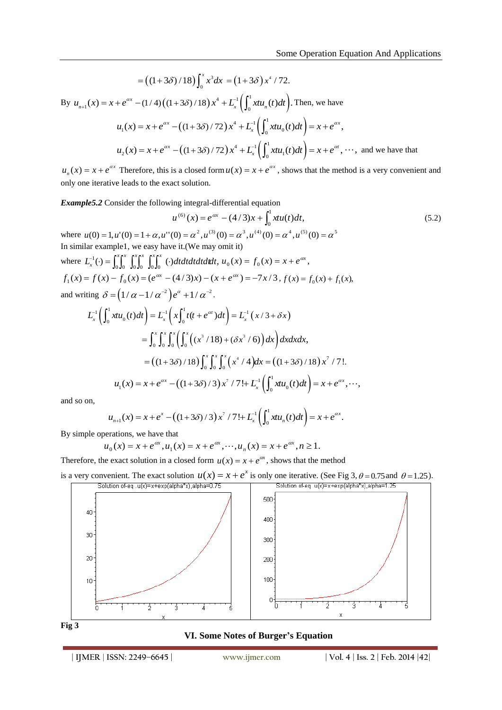$$
= ((1+3\delta)/18) \int_0^x x^3 dx = (1+3\delta) x^4 / 72.
$$
  
By  $u_{n+1}(x) = x + e^{\alpha x} - (1/4) ((1+3\delta)/18) x^4 + L_x^{-1} (\int_0^1 x t u_n(t) dt)$ . Then, we have  
 $u_1(x) = x + e^{\alpha x} - ((1+3\delta)/72) x^4 + L_x^{-1} (\int_0^1 x t u_0(t) dt) = x + e^{\alpha x},$   
 $u_2(x) = x + e^{\alpha x} - ((1+3\delta)/72) x^4 + L_x^{-1} (\int_0^1 x t u_1(t) dt) = x + e^{\alpha t}, \dots$ , and we have that

 $u_n(x) = x + e^{ax}$  Therefore, this is a closed form  $u(x) = x + e^{ax}$ , shows that the method is a very convenient and only one iterative leads to the exact solution.

*Example5.2* Consider the following integral-differential equation

$$
u^{(6)}(x) = e^{\alpha x} - (4/3)x + \int_0^1 x t u(t) dt,
$$
\n(5.2)

where  $u(0) = 1, u'(0) = 1 + \alpha, u''(0) = \alpha^2, u^{(3)}(0) = \alpha^3, u^{(4)}(0) = \alpha^4, u^{(5)}(0) = \alpha^5$ In similar example1, we easy have it.(We may omit it) where  $L_x^{-1}(\cdot) = \int_0^x \int_0^x \int_0^x \int_0^x \int_0^x (\cdot) dt dt dt dt dt$ ,  $0\,$  0  $0\,$  0  $0\,$  0  $0\,$  0  $0\,$  0  $0\,$  $I_x^{-1}(\cdot) = \int_0^{\infty} \int_0^{\infty} \int_0^{\infty} \int_0^{\infty} \int_0^{\infty} (\cdot) dt dt dt dt dt$ ,  $u_0(x) = f_0(x) = x + e^{\alpha x}$ ,

and writing 
$$
\delta = (1/\alpha - 1/\alpha^{-2})e^{\alpha} + 1/\alpha^{-2}
$$
.

$$
f_1(x) = f(x) - f_0(x) = (e^{\alpha x} - (4/3)x) - (x + e^{\alpha x}) = -7x/3, f(x) = f_0(x) + f_1(x),
$$
  
and writing  $\delta = (1/\alpha - 1/\alpha^{-2})e^{\alpha} + 1/\alpha^{-2}$ .  

$$
L_x^{-1} \left( \int_0^1 x u_0(t) dt \right) = L_x^{-1} \left( x \int_0^1 t(t + e^{\alpha t}) dt \right) = L_x^{-1} \left( x/3 + \delta x \right)
$$

$$
= \int_0^x \int_0^x \int_0^x \left( \int_0^x \left( (x^3/18) + (\delta x^3/6) \right) dx \right) dx dx dx,
$$

$$
= \left( (1 + 3\delta)/18 \right) \int_0^x \int_0^x \int_0^x \left( x^4/4 \right) dx = \left( (1 + 3\delta)/18 \right) x^7/7!.
$$

$$
u_1(x) = x + e^{\alpha x} - \left( (1 + 3\delta)/3 \right) x^7/7! + L_x^{-1} \left( \int_0^1 x u_0(t) dt \right) = x + e^{\alpha x}, \dots,
$$

and so on,

$$
u_{n+1}(x) = x + e^x - ((1+3\delta)/3) x^7 / 7! + L_x^1 \left( \int_0^1 x u_n(t) dt \right) = x + e^{\alpha x}.
$$

By simple operations, we have that

$$
u_0(x) = x + e^{\alpha x}, u_1(x) = x + e^{\alpha x}, \dots, u_n(x) = x + e^{\alpha x}, n \ge 1.
$$

Therefore, the exact solution in a closed form  $u(x) = x + e^{ax}$ , shows that the method







## **VI. Some Notes of Burger's Equation**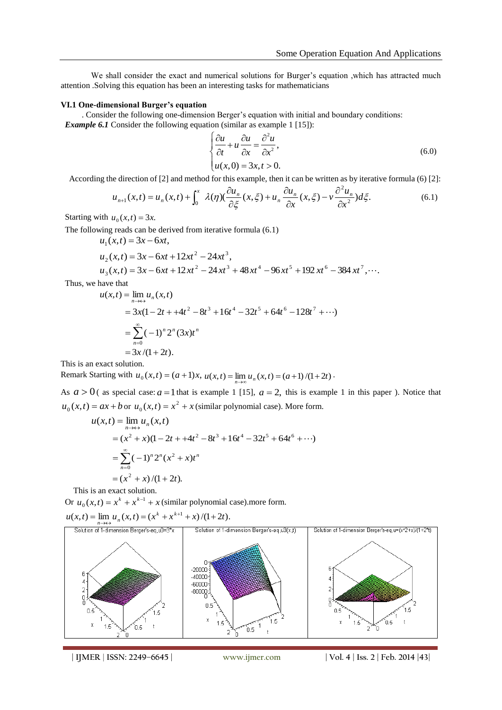We shall consider the exact and numerical solutions for Burger's equation ,which has attracted much attention .Solving this equation has been an interesting tasks for mathematicians

#### **VI.1 One-dimensional Burger's equation**

. Consider the following one-dimension Berger's equation with initial and boundary conditions: *Example 6.1* Consider the following equation (similar as example 1 [15]):

$$
\begin{cases}\n\frac{\partial u}{\partial t} + u \frac{\partial u}{\partial x} = \frac{\partial^2 u}{\partial x^2}, \\
u(x,0) = 3x, t > 0.\n\end{cases}
$$
\n(6.0)

According the direction of [2] and method for this example, then it can be written as by iterative formula (6) [2]:

$$
u_{n+1}(x,t) = u_n(x,t) + \int_0^x \lambda(\eta) \left(\frac{\partial u_n}{\partial \xi}(x,\xi) + u_n \frac{\partial u_n}{\partial x}(x,\xi) - v \frac{\partial^2 u_n}{\partial x^2}\right) d\xi.
$$
 (6.1)

Starting with  $u_0(x,t) = 3x$ .

The following reads can be derived from iterative formula (6.1)

$$
u_1(x,t) = 3x - 6xt,
$$
  
\n
$$
u_2(x,t) = 3x - 6xt + 12xt^2 - 24xt^3,
$$
  
\n
$$
u_3(x,t) = 3x - 6xt + 12xt^2 - 24xt^3 + 48xt^4 - 96xt^5 + 192xt^6 - 384xt^7,...
$$

Thus, we have that

$$
u(x,t) = \lim_{n \to \infty} u_n(x,t)
$$
  
= 3x(1-2t + +4t<sup>2</sup> - 8t<sup>3</sup> + 16t<sup>4</sup> - 32t<sup>5</sup> + 64t<sup>6</sup> - 128t<sup>7</sup> +...)  
= 
$$
\sum_{n=0}^{\infty} (-1)^n 2^n (3x)t^n
$$
  
= 3x/(1+2t).

This is an exact solution.

Remark Starting with  $u_0(x,t) = (a+1)x$ ,  $u(x,t) = \lim_{n \to \infty} u_n(x,t) = (a+1)/(1+2t)$ .

As  $a > 0$  (as special case:  $a = 1$  that is example 1 [15],  $a = 2$ , this is example 1 in this paper ). Notice that  $u_0(x,t) = ax + b$  or  $u_0(x,t) = x^2 + x$  (similar polynomial case). More form.

$$
u(x,t) = \lim_{n \to \infty} u_n(x,t)
$$
  
=  $(x^2 + x)(1 - 2t + 4t^2 - 8t^3 + 16t^4 - 32t^5 + 64t^6 + \cdots)$   
=  $\sum_{n=0}^{\infty} (-1)^n 2^n (x^2 + x)t^n$   
=  $(x^2 + x)/(1 + 2t)$ .

This is an exact solution.

Or  $u_0(x,t) = x^k + x^{k-1} + x$  (similar polynomial case).more form.

 $u(x,t) = \lim_{n \to \infty} u_n(x,t) = (x^k + x^{k+1} + x)/(1+2t).$ 

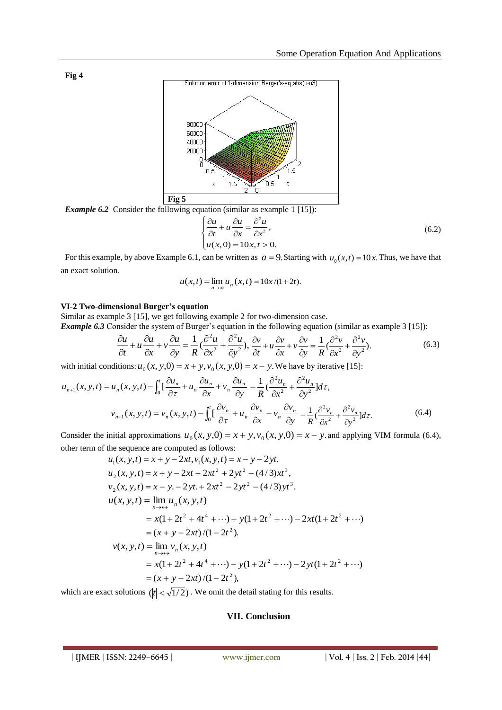

*Example 6.2* Consider the following equation (similar as example 1 [15]):

$$
\begin{cases}\n\frac{\partial u}{\partial t} + u \frac{\partial u}{\partial x} = \frac{\partial^2 u}{\partial x^2}, \\
u(x,0) = 10x, t > 0.\n\end{cases}
$$
\n(6.2)

For this example, by above Example 6.1, can be written as  $a = 9$ . Starting with  $u_0(x,t) = 10x$ . Thus, we have that an exact solution.

$$
u(x,t) = \lim_{n \to \infty} u_n(x,t) = 10x/(1+2t).
$$

## **VI-2 Two-dimensional Burger's equation**

Similar as example 3 [15], we get following example 2 for two-dimension case. *Example 6.3* Consider the system of Burger's equation in the following equation (similar as example 3 [15]):

$$
\frac{\partial u}{\partial t} + u \frac{\partial u}{\partial x} + v \frac{\partial u}{\partial y} = \frac{1}{R} \left( \frac{\partial^2 u}{\partial x^2} + \frac{\partial^2 u}{\partial y^2} \right), \frac{\partial v}{\partial t} + u \frac{\partial v}{\partial x} + v \frac{\partial v}{\partial y} = \frac{1}{R} \left( \frac{\partial^2 v}{\partial x^2} + \frac{\partial^2 v}{\partial y^2} \right).
$$
(6.3)

with initial conditions:  $u_0(x, y, 0) = x + y$ ,  $v_0(x, y, 0) = x - y$ . We have by iterative [15]:

$$
u_{n+1}(x, y, t) = u_n(x, y, t) - \int_0^t \left[ \frac{\partial u_n}{\partial \tau} + u_n \frac{\partial u_n}{\partial x} + v_n \frac{\partial u_n}{\partial y} - \frac{1}{R} \left( \frac{\partial^2 u_n}{\partial x^2} + \frac{\partial^2 u_n}{\partial y^2} \right] d\tau, \n v_{n+1}(x, y, t) = v_n(x, y, t) - \int_0^t \left[ \frac{\partial v_n}{\partial \tau} + u_n \frac{\partial v_n}{\partial x} + v_n \frac{\partial v_n}{\partial y} - \frac{1}{R} \left( \frac{\partial^2 v_n}{\partial x^2} + \frac{\partial^2 v_n}{\partial y^2} \right] d\tau. \tag{6.4}
$$

Consider the initial approximations  $u_0(x, y, 0) = x + y$ ,  $v_0(x, y, 0) = x - y$ , and applying VIM formula (6.4), other term of the sequence are computed as follows:

$$
u_1(x, y, t) = x + y - 2xt, v_1(x, y, t) = x - y - 2yt.
$$
  
\n
$$
u_2(x, y, t) = x + y - 2xt + 2xt^2 + 2yt^2 - (4/3)xt^3,
$$
  
\n
$$
v_2(x, y, t) = x - y - 2yt + 2xt^2 - 2yt^2 - (4/3)yt^3.
$$
  
\n
$$
u(x, y, t) = \lim_{n \to \infty} u_n(x, y, t)
$$
  
\n
$$
= x(1 + 2t^2 + 4t^4 + \cdots) + y(1 + 2t^2 + \cdots) - 2xt(1 + 2t^2 + \cdots)
$$
  
\n
$$
= (x + y - 2xt)/(1 - 2t^2).
$$
  
\n
$$
v(x, y, t) = \lim_{n \to \infty} v_n(x, y, t)
$$
  
\n
$$
= x(1 + 2t^2 + 4t^4 + \cdots) - y(1 + 2t^2 + \cdots) - 2yt(1 + 2t^2 + \cdots)
$$
  
\n
$$
= (x + y - 2xt)/(1 - 2t^2),
$$

which are exact solutions  $(|t| < \sqrt{1/2})$ . We omit the detail stating for this results.

## **VII. Conclusion**

**Fig 4**